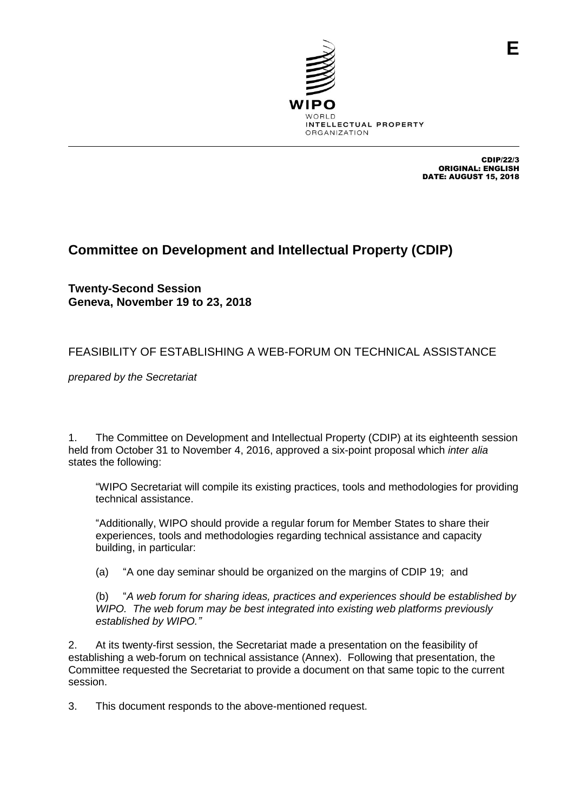

CDIP/22/3 ORIGINAL: ENGLISH DATE: AUGUST 15, 2018

## **Committee on Development and Intellectual Property (CDIP)**

**Twenty-Second Session Geneva, November 19 to 23, 2018**

## FEASIBILITY OF ESTABLISHING A WEB-FORUM ON TECHNICAL ASSISTANCE

*prepared by the Secretariat*

1. The Committee on Development and Intellectual Property (CDIP) at its eighteenth session held from October 31 to November 4, 2016, approved a six-point proposal which *inter alia* states the following:

"WIPO Secretariat will compile its existing practices, tools and methodologies for providing technical assistance.

"Additionally, WIPO should provide a regular forum for Member States to share their experiences, tools and methodologies regarding technical assistance and capacity building, in particular:

(a) "A one day seminar should be organized on the margins of CDIP 19; and

(b) "*A web forum for sharing ideas, practices and experiences should be established by WIPO. The web forum may be best integrated into existing web platforms previously established by WIPO."*

2. At its twenty-first session, the Secretariat made a presentation on the feasibility of establishing a web-forum on technical assistance (Annex). Following that presentation, the Committee requested the Secretariat to provide a document on that same topic to the current session.

3. This document responds to the above-mentioned request.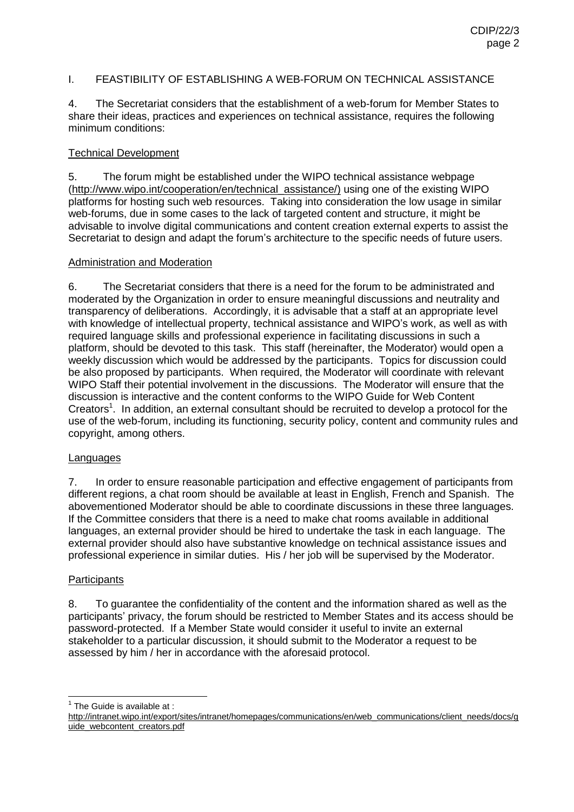#### I. FEASTIBILITY OF ESTABLISHING A WEB-FORUM ON TECHNICAL ASSISTANCE

4. The Secretariat considers that the establishment of a web-forum for Member States to share their ideas, practices and experiences on technical assistance, requires the following minimum conditions:

#### Technical Development

5. The forum might be established under the WIPO technical assistance webpage [\(http://www.wipo.int/cooperation/en/technical\\_assistance/\)](http://www.wipo.int/cooperation/en/technical_assistance/) using one of the existing WIPO platforms for hosting such web resources. Taking into consideration the low usage in similar web-forums, due in some cases to the lack of targeted content and structure, it might be advisable to involve digital communications and content creation external experts to assist the Secretariat to design and adapt the forum's architecture to the specific needs of future users.

#### Administration and Moderation

6. The Secretariat considers that there is a need for the forum to be administrated and moderated by the Organization in order to ensure meaningful discussions and neutrality and transparency of deliberations. Accordingly, it is advisable that a staff at an appropriate level with knowledge of intellectual property, technical assistance and WIPO's work, as well as with required language skills and professional experience in facilitating discussions in such a platform, should be devoted to this task. This staff (hereinafter, the Moderator) would open a weekly discussion which would be addressed by the participants. Topics for discussion could be also proposed by participants. When required, the Moderator will coordinate with relevant WIPO Staff their potential involvement in the discussions. The Moderator will ensure that the discussion is interactive and the content conforms to the WIPO Guide for Web Content Creators<sup>1</sup>. In addition, an external consultant should be recruited to develop a protocol for the use of the web-forum, including its functioning, security policy, content and community rules and copyright, among others.

#### **Languages**

7. In order to ensure reasonable participation and effective engagement of participants from different regions, a chat room should be available at least in English, French and Spanish. The abovementioned Moderator should be able to coordinate discussions in these three languages. If the Committee considers that there is a need to make chat rooms available in additional languages, an external provider should be hired to undertake the task in each language. The external provider should also have substantive knowledge on technical assistance issues and professional experience in similar duties. His / her job will be supervised by the Moderator.

### **Participants**

8. To guarantee the confidentiality of the content and the information shared as well as the participants' privacy, the forum should be restricted to Member States and its access should be password-protected. If a Member State would consider it useful to invite an external stakeholder to a particular discussion, it should submit to the Moderator a request to be assessed by him / her in accordance with the aforesaid protocol.

<u>The Guide is available at :</u>

[http://intranet.wipo.int/export/sites/intranet/homepages/communications/en/web\\_communications/client\\_needs/docs/g](http://intranet.wipo.int/export/sites/intranet/homepages/communications/en/web_communications/client_needs/docs/guide_webcontent_creators.pdf) [uide\\_webcontent\\_creators.pdf](http://intranet.wipo.int/export/sites/intranet/homepages/communications/en/web_communications/client_needs/docs/guide_webcontent_creators.pdf)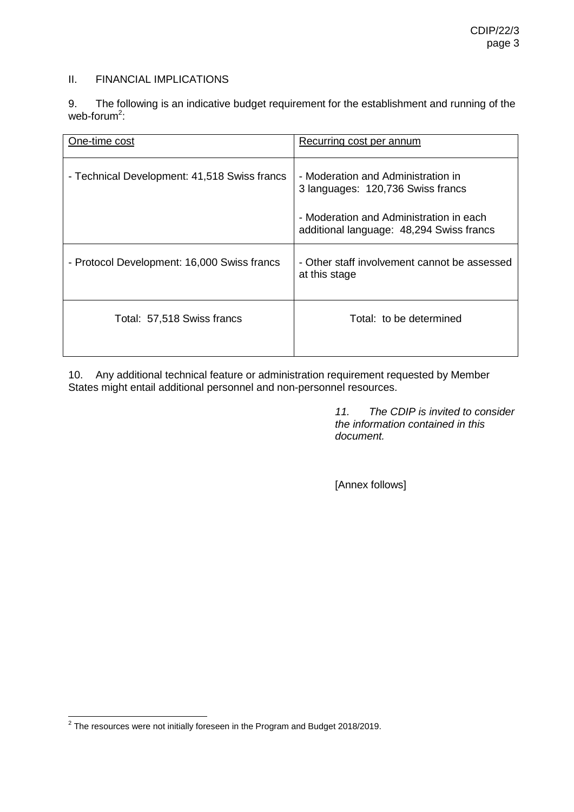#### II. FINANCIAL IMPLICATIONS

9. The following is an indicative budget requirement for the establishment and running of the web-forum<sup>2</sup>:

| One-time cost                                | Recurring cost per annum                                                            |
|----------------------------------------------|-------------------------------------------------------------------------------------|
| - Technical Development: 41,518 Swiss francs | - Moderation and Administration in<br>3 languages: 120,736 Swiss francs             |
|                                              | - Moderation and Administration in each<br>additional language: 48,294 Swiss francs |
| - Protocol Development: 16,000 Swiss francs  | - Other staff involvement cannot be assessed<br>at this stage                       |
| Total: 57,518 Swiss francs                   | Total: to be determined                                                             |

10. Any additional technical feature or administration requirement requested by Member States might entail additional personnel and non-personnel resources.

> *11. The CDIP is invited to consider the information contained in this document.*

[Annex follows]

 2 The resources were not initially foreseen in the Program and Budget 2018/2019.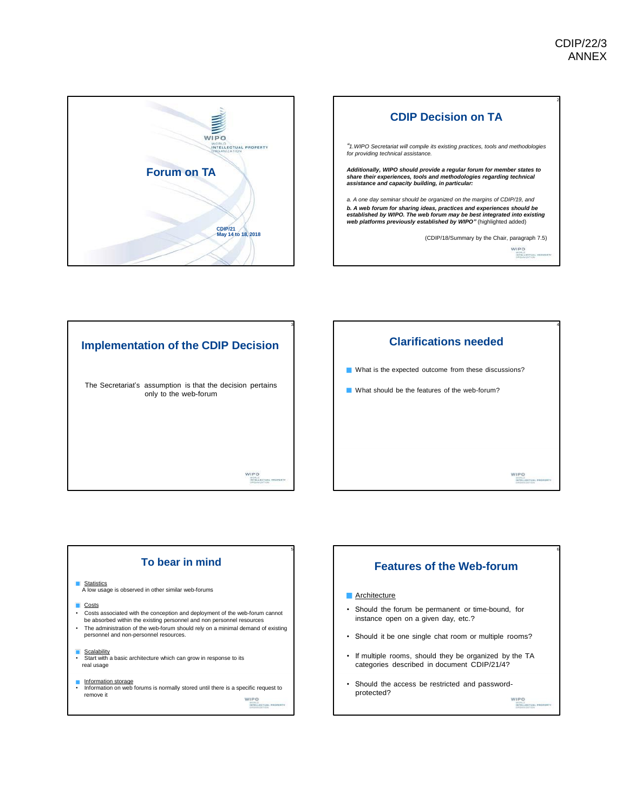







# **To bear in mind** Statistics A low usage is observed in other similar web-forums

- **Costs**
- Costs associated with the conception and deployment of the web-forum cannot be absorbed within the existing personnel and non personnel resources • The administration of the web-forum should rely on a minimal demand of existing personnel and non-personnel resources.

5

- 
- Scalability<br>• Start with a basic architecture which can grow in response to its real usage
- 

**Information storage**<br>• Information on web forums is normally stored until there is a specific request to remove it WIPO<br>ATRI

**Architecture** • Should the forum be permanent or time-bound, for instance open on a given day, etc.?

**Features of the Web-forum**

- Should it be one single chat room or multiple rooms?
- If multiple rooms, should they be organized by the TA categories described in document CDIP/21/4?
- Should the access be restricted and passwordprotected?

WIPO

6